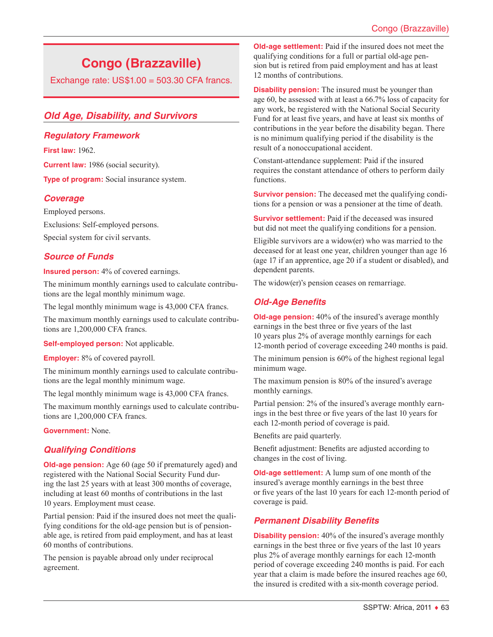# **Congo (Brazzaville)**

Exchange rate:  $US$1.00 = 503.30$  CFA francs.

# *Old Age, Disability, and Survivors*

# *Regulatory Framework*

**First law:** 1962.

**Current law:** 1986 (social security).

**Type of program:** Social insurance system.

# *Coverage*

Employed persons. Exclusions: Self-employed persons. Special system for civil servants.

# *Source of Funds*

**Insured person:** 4% of covered earnings.

The minimum monthly earnings used to calculate contributions are the legal monthly minimum wage.

The legal monthly minimum wage is 43,000 CFA francs.

The maximum monthly earnings used to calculate contributions are 1,200,000 CFA francs.

**Self-employed person:** Not applicable.

**Employer:** 8% of covered payroll.

The minimum monthly earnings used to calculate contributions are the legal monthly minimum wage.

The legal monthly minimum wage is 43,000 CFA francs.

The maximum monthly earnings used to calculate contributions are 1,200,000 CFA francs.

**Government:** None.

# *Qualifying Conditions*

**Old-age pension:** Age 60 (age 50 if prematurely aged) and registered with the National Social Security Fund during the last 25 years with at least 300 months of coverage, including at least 60 months of contributions in the last 10 years. Employment must cease.

Partial pension: Paid if the insured does not meet the qualifying conditions for the old-age pension but is of pensionable age, is retired from paid employment, and has at least 60 months of contributions.

The pension is payable abroad only under reciprocal agreement.

**Old-age settlement:** Paid if the insured does not meet the qualifying conditions for a full or partial old-age pension but is retired from paid employment and has at least 12 months of contributions.

**Disability pension:** The insured must be younger than age 60, be assessed with at least a 66.7% loss of capacity for any work, be registered with the National Social Security Fund for at least five years, and have at least six months of contributions in the year before the disability began. There is no minimum qualifying period if the disability is the result of a nonoccupational accident.

Constant-attendance supplement: Paid if the insured requires the constant attendance of others to perform daily functions.

**Survivor pension:** The deceased met the qualifying conditions for a pension or was a pensioner at the time of death.

**Survivor settlement:** Paid if the deceased was insured but did not meet the qualifying conditions for a pension.

Eligible survivors are a widow(er) who was married to the deceased for at least one year, children younger than age 16 (age 17 if an apprentice, age 20 if a student or disabled), and dependent parents.

The widow(er)'s pension ceases on remarriage.

# *Old-Age Benefits*

**Old-age pension:** 40% of the insured's average monthly earnings in the best three or five years of the last 10 years plus 2% of average monthly earnings for each 12-month period of coverage exceeding 240 months is paid.

The minimum pension is 60% of the highest regional legal minimum wage.

The maximum pension is 80% of the insured's average monthly earnings.

Partial pension: 2% of the insured's average monthly earnings in the best three or five years of the last 10 years for each 12-month period of coverage is paid.

Benefits are paid quarterly.

Benefit adjustment: Benefits are adjusted according to changes in the cost of living.

**Old-age settlement:** A lump sum of one month of the insured's average monthly earnings in the best three or five years of the last 10 years for each 12-month period of coverage is paid.

# *Permanent Disability Benefits*

**Disability pension:** 40% of the insured's average monthly earnings in the best three or five years of the last 10 years plus 2% of average monthly earnings for each 12-month period of coverage exceeding 240 months is paid. For each year that a claim is made before the insured reaches age 60, the insured is credited with a six-month coverage period.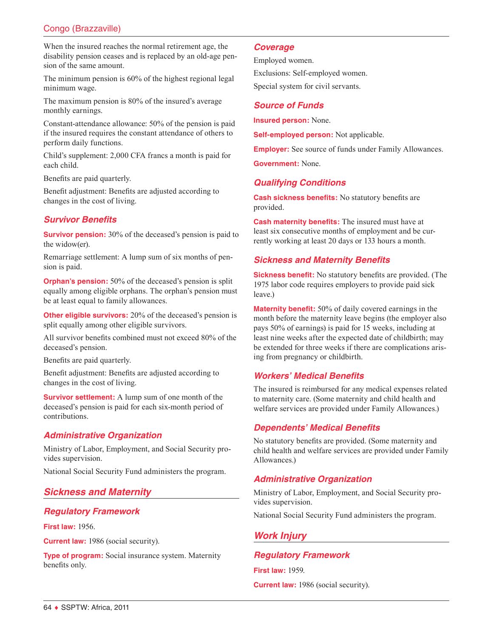# Congo (Brazzaville)

When the insured reaches the normal retirement age, the disability pension ceases and is replaced by an old-age pension of the same amount.

The minimum pension is 60% of the highest regional legal minimum wage.

The maximum pension is 80% of the insured's average monthly earnings.

Constant-attendance allowance: 50% of the pension is paid if the insured requires the constant attendance of others to perform daily functions.

Child's supplement: 2,000 CFA francs a month is paid for each child.

Benefits are paid quarterly.

Benefit adjustment: Benefits are adjusted according to changes in the cost of living.

# *Survivor Benefits*

**Survivor pension:** 30% of the deceased's pension is paid to the widow(er).

Remarriage settlement: A lump sum of six months of pension is paid.

**Orphan's pension:** 50% of the deceased's pension is split equally among eligible orphans. The orphan's pension must be at least equal to family allowances.

**Other eligible survivors:** 20% of the deceased's pension is split equally among other eligible survivors.

All survivor benefits combined must not exceed 80% of the deceased's pension.

Benefits are paid quarterly.

Benefit adjustment: Benefits are adjusted according to changes in the cost of living.

**Survivor settlement:** A lump sum of one month of the deceased's pension is paid for each six-month period of contributions.

# *Administrative Organization*

Ministry of Labor, Employment, and Social Security provides supervision.

National Social Security Fund administers the program.

# *Sickness and Maternity*

# *Regulatory Framework*

**First law:** 1956.

**Current law:** 1986 (social security).

**Type of program:** Social insurance system. Maternity benefits only.

#### *Coverage*

Employed women. Exclusions: Self-employed women.

Special system for civil servants.

#### *Source of Funds*

**Insured person:** None.

**Self-employed person:** Not applicable.

**Employer:** See source of funds under Family Allowances.

**Government:** None.

#### *Qualifying Conditions*

**Cash sickness benefits:** No statutory benefits are provided.

**Cash maternity benefits:** The insured must have at least six consecutive months of employment and be currently working at least 20 days or 133 hours a month.

#### *Sickness and Maternity Benefits*

**Sickness benefit:** No statutory benefits are provided. (The 1975 labor code requires employers to provide paid sick leave.)

**Maternity benefit:** 50% of daily covered earnings in the month before the maternity leave begins (the employer also pays 50% of earnings) is paid for 15 weeks, including at least nine weeks after the expected date of childbirth; may be extended for three weeks if there are complications arising from pregnancy or childbirth.

# *Workers' Medical Benefits*

The insured is reimbursed for any medical expenses related to maternity care. (Some maternity and child health and welfare services are provided under Family Allowances.)

#### *Dependents' Medical Benefits*

No statutory benefits are provided. (Some maternity and child health and welfare services are provided under Family Allowances.)

# *Administrative Organization*

Ministry of Labor, Employment, and Social Security provides supervision.

National Social Security Fund administers the program.

# *Work Injury*

#### *Regulatory Framework*

**First law:** 1959.

**Current law:** 1986 (social security).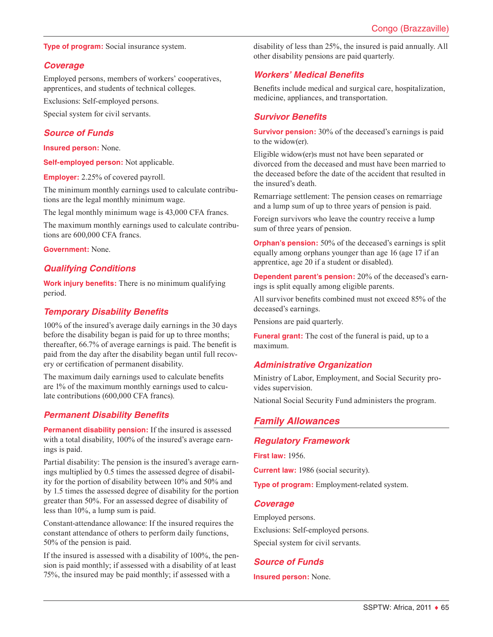#### **Type of program:** Social insurance system.

#### *Coverage*

Employed persons, members of workers' cooperatives, apprentices, and students of technical colleges.

Exclusions: Self-employed persons.

Special system for civil servants.

#### *Source of Funds*

**Insured person:** None.

**Self-employed person:** Not applicable.

**Employer:** 2.25% of covered payroll.

The minimum monthly earnings used to calculate contributions are the legal monthly minimum wage.

The legal monthly minimum wage is 43,000 CFA francs.

The maximum monthly earnings used to calculate contributions are 600,000 CFA francs.

**Government:** None.

#### *Qualifying Conditions*

**Work injury benefits:** There is no minimum qualifying period.

#### *Temporary Disability Benefits*

100% of the insured's average daily earnings in the 30 days before the disability began is paid for up to three months; thereafter, 66.7% of average earnings is paid. The benefit is paid from the day after the disability began until full recovery or certification of permanent disability.

The maximum daily earnings used to calculate benefits are 1% of the maximum monthly earnings used to calculate contributions (600,000 CFA francs).

#### *Permanent Disability Benefits*

**Permanent disability pension:** If the insured is assessed with a total disability, 100% of the insured's average earnings is paid.

Partial disability: The pension is the insured's average earnings multiplied by 0.5 times the assessed degree of disability for the portion of disability between 10% and 50% and by 1.5 times the assessed degree of disability for the portion greater than 50%. For an assessed degree of disability of less than 10%, a lump sum is paid.

Constant-attendance allowance: If the insured requires the constant attendance of others to perform daily functions, 50% of the pension is paid.

If the insured is assessed with a disability of 100%, the pension is paid monthly; if assessed with a disability of at least 75%, the insured may be paid monthly; if assessed with a

disability of less than 25%, the insured is paid annually. All other disability pensions are paid quarterly.

# *Workers' Medical Benefits*

Benefits include medical and surgical care, hospitalization, medicine, appliances, and transportation.

#### *Survivor Benefits*

**Survivor pension:** 30% of the deceased's earnings is paid to the widow(er).

Eligible widow(er)s must not have been separated or divorced from the deceased and must have been married to the deceased before the date of the accident that resulted in the insured's death.

Remarriage settlement: The pension ceases on remarriage and a lump sum of up to three years of pension is paid.

Foreign survivors who leave the country receive a lump sum of three years of pension.

**Orphan's pension:** 50% of the deceased's earnings is split equally among orphans younger than age 16 (age 17 if an apprentice, age 20 if a student or disabled).

**Dependent parent's pension:** 20% of the deceased's earnings is split equally among eligible parents.

All survivor benefits combined must not exceed 85% of the deceased's earnings.

Pensions are paid quarterly.

**Funeral grant:** The cost of the funeral is paid, up to a maximum.

#### *Administrative Organization*

Ministry of Labor, Employment, and Social Security provides supervision.

National Social Security Fund administers the program.

# *Family Allowances*

#### *Regulatory Framework*

**First law:** 1956.

**Current law:** 1986 (social security).

**Type of program:** Employment-related system.

#### *Coverage*

Employed persons. Exclusions: Self-employed persons. Special system for civil servants.

# *Source of Funds*

**Insured person:** None.